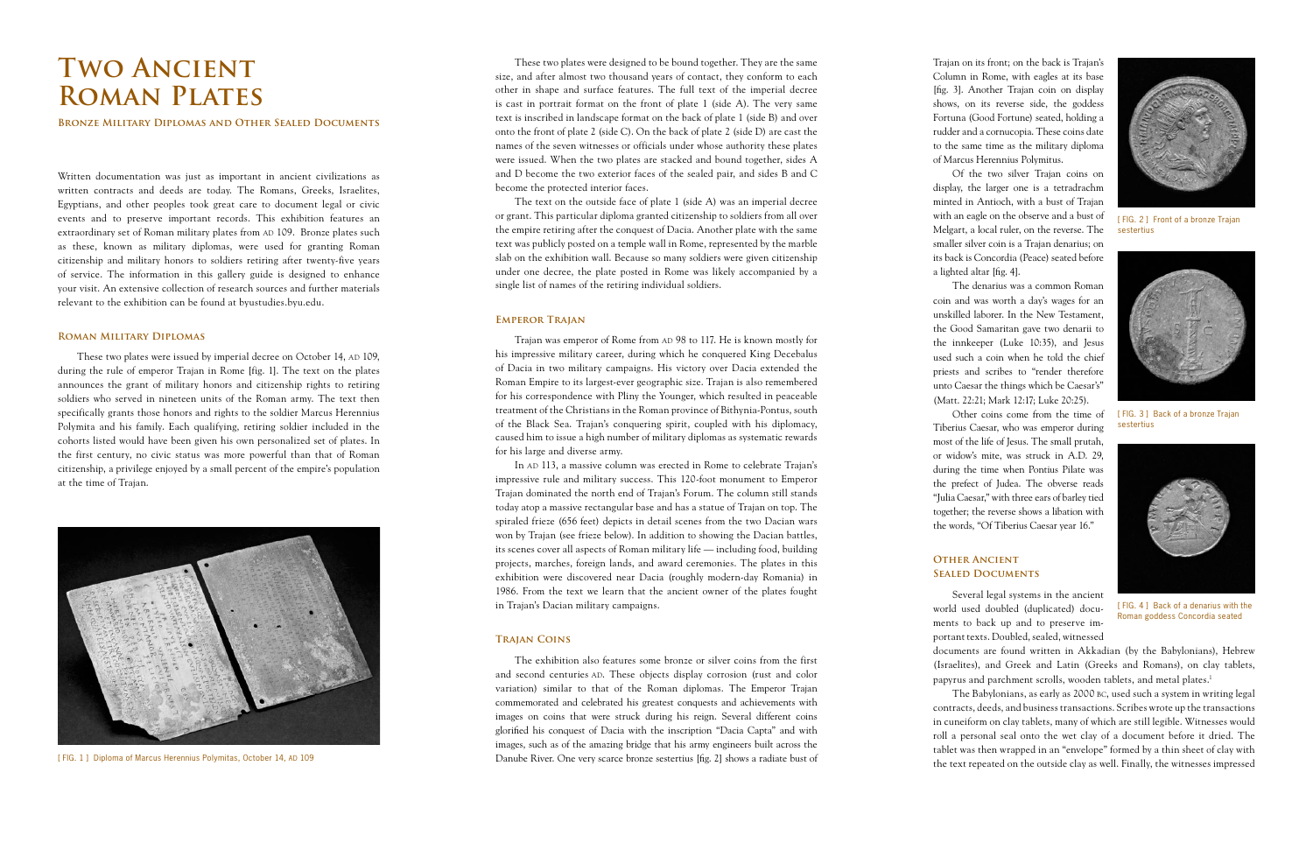Written documentation was just as important in ancient civilizations as written contracts and deeds are today. The Romans, Greeks, Israelites, Egyptians, and other peoples took great care to document legal or civic events and to preserve important records. This exhibition features an extraordinary set of Roman military plates from AD 109. Bronze plates such as these, known as military diplomas, were used for granting Roman citizenship and military honors to soldiers retiring after twenty-five years of service. The information in this gallery guide is designed to enhance your visit. An extensive collection of research sources and further materials relevant to the exhibition can be found at byustudies.byu.edu.

These two plates were issued by imperial decree on October 14, AD 109, during the rule of emperor Trajan in Rome [fig. 1]. The text on the plates announces the grant of military honors and citizenship rights to retiring soldiers who served in nineteen units of the Roman army. The text then specifically grants those honors and rights to the soldier Marcus Herennius Polymita and his family. Each qualifying, retiring soldier included in the cohorts listed would have been given his own personalized set of plates. In the first century, no civic status was more powerful than that of Roman citizenship, a privilege enjoyed by a small percent of the empire's population at the time of Trajan.

#### **Roman Military Diplomas**

Trajan was emperor of Rome from AD 98 to 117. He is known mostly for his impressive military career, during which he conquered King Decebalus of Dacia in two military campaigns. His victory over Dacia extended the Roman Empire to its largest-ever geographic size. Trajan is also remembered for his correspondence with Pliny the Younger, which resulted in peaceable treatment of the Christians in the Roman province of Bithynia-Pontus, south of the Black Sea. Trajan's conquering spirit, coupled with his diplomacy, caused him to issue a high number of military diplomas as systematic rewards for his large and diverse army.

These two plates were designed to be bound together. They are the same size, and after almost two thousand years of contact, they conform to each other in shape and surface features. The full text of the imperial decree is cast in portrait format on the front of plate 1 (side A). The very same text is inscribed in landscape format on the back of plate 1 (side B) and over onto the front of plate 2 (side C). On the back of plate 2 (side D) are cast the names of the seven witnesses or officials under whose authority these plates were issued. When the two plates are stacked and bound together, sides A and D become the two exterior faces of the sealed pair, and sides B and C become the protected interior faces.

In AD 113, a massive column was erected in Rome to celebrate Trajan's impressive rule and military success. This 120-foot monument to Emperor Trajan dominated the north end of Trajan's Forum. The column still stands today atop a massive rectangular base and has a statue of Trajan on top. The spiraled frieze (656 feet) depicts in detail scenes from the two Dacian wars won by Trajan (see frieze below). In addition to showing the Dacian battles, its scenes cover all aspects of Roman military life — including food, building projects, marches, foreign lands, and award ceremonies. The plates in this exhibition were discovered near Dacia (roughly modern-day Romania) in 1986. From the text we learn that the ancient owner of the plates fought in Trajan's Dacian military campaigns.

The text on the outside face of plate 1 (side A) was an imperial decree or grant. This particular diploma granted citizenship to soldiers from all over the empire retiring after the conquest of Dacia. Another plate with the same text was publicly posted on a temple wall in Rome, represented by the marble slab on the exhibition wall. Because so many soldiers were given citizenship under one decree, the plate posted in Rome was likely accompanied by a single list of names of the retiring individual soldiers.

#### **Emperor Trajan**



[FIG. 2] Front of a bronze Trajan sestertius



[ FIG. 3 ] Back of a bronze Trajan sestertius

#### **Trajan Coins**

The exhibition also features some bronze or silver coins from the first and second centuries AD. These objects display corrosion (rust and color variation) similar to that of the Roman diplomas. The Emperor Trajan commemorated and celebrated his greatest conquests and achievements with images on coins that were struck during his reign. Several different coins glorified his conquest of Dacia with the inscription "Dacia Capta" and with images, such as of the amazing bridge that his army engineers built across the Danube River. One very scarce bronze sestertius [fig. 2] shows a radiate bust of

Trajan on its front; on the back is Trajan's Column in Rome, with eagles at its base [fig. 3]. Another Trajan coin on display shows, on its reverse side, the goddess Fortuna (Good Fortune) seated, holding a rudder and a cornucopia. These coins date to the same time as the military diploma of Marcus Herennius Polymitus.

Of the two silver Trajan coins on display, the larger one is a tetradrachm minted in Antioch, with a bust of Trajan with an eagle on the observe and a bust of Melgart, a local ruler, on the reverse. The smaller silver coin is a Trajan denarius; on its back is Concordia (Peace) seated before a lighted altar [fig. 4].

The denarius was a common Roman coin and was worth a day's wages for an unskilled laborer. In the New Testament, the Good Samaritan gave two denarii to the innkeeper (Luke 10:35), and Jesus used such a coin when he told the chief priests and scribes to "render therefore unto Caesar the things which be Caesar's" (Matt. 22:21; Mark 12:17; Luke 20:25).

Other coins come from the time of Tiberius Caesar, who was emperor during most of the life of Jesus. The small prutah, or widow's mite, was struck in A.D. 29, during the time when Pontius Pilate was the prefect of Judea. The obverse reads "Julia Caesar," with three ears of barley tied together; the reverse shows a libation with the words, "Of Tiberius Caesar year 16."

## **Other Ancient Sealed Documents**



Several legal systems in the ancient world used doubled (duplicated) documents to back up and to preserve important texts. Doubled, sealed, witnessed

documents are found written in Akkadian (by the Babylonians), Hebrew (Israelites), and Greek and Latin (Greeks and Romans), on clay tablets, papyrus and parchment scrolls, wooden tablets, and metal plates.1

The Babylonians, as early as 2000 bc, used such a system in writing legal contracts, deeds, and business transactions. Scribes wrote up the transactions in cuneiform on clay tablets, many of which are still legible. Witnesses would roll a personal seal onto the wet clay of a document before it dried. The tablet was then wrapped in an "envelope" formed by a thin sheet of clay with the text repeated on the outside clay as well. Finally, the witnesses impressed

# **Two Ancient Roman Plates**

**Bronze Military Diplomas and Other Sealed Documents**

[ FIG. 1 ] Diploma of Marcus Herennius Polymitas, October 14, AD 109



[ FIG. 4 ] Back of a denarius with the Roman goddess Concordia seated